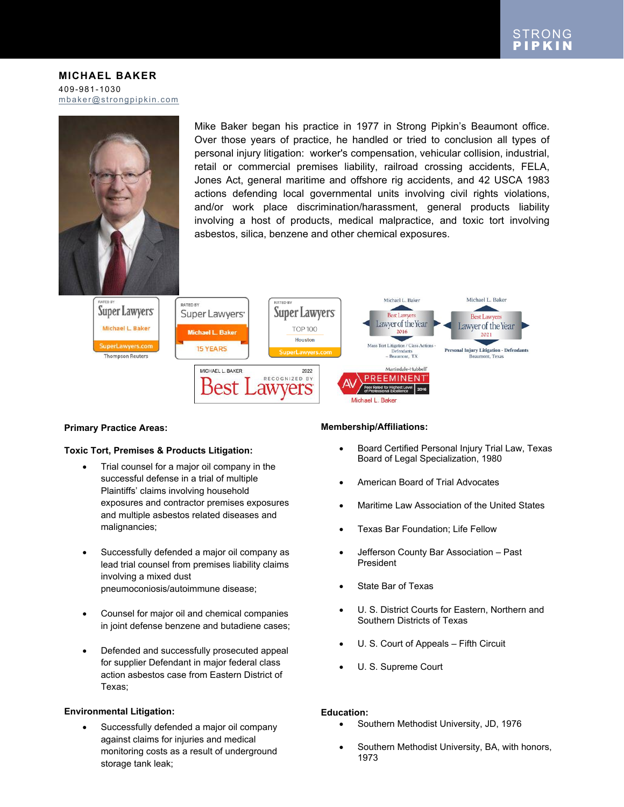**MICHAEL BAKER** 409-981-1030 [mbaker@strongpipkin.com](mailto:mbaker@strongpipkin.com)



Mike Baker began his practice in 1977 in Strong Pipkin's Beaumont office. Over those years of practice, he handled or tried to conclusion all types of personal injury litigation: worker's compensation, vehicular collision, industrial, retail or commercial premises liability, railroad crossing accidents, FELA, Jones Act, general maritime and offshore rig accidents, and 42 USCA 1983 actions defending local governmental units involving civil rights violations, and/or work place discrimination/harassment, general products liability involving a host of products, medical malpractice, and toxic tort involving asbestos, silica, benzene and other chemical exposures.



## **Primary Practice Areas:**

## **Toxic Tort, Premises & Products Litigation:**

- Trial counsel for a major oil company in the successful defense in a trial of multiple Plaintiffs' claims involving household exposures and contractor premises exposures and multiple asbestos related diseases and malignancies;
- Successfully defended a major oil company as lead trial counsel from premises liability claims involving a mixed dust pneumoconiosis/autoimmune disease;
- Counsel for major oil and chemical companies in joint defense benzene and butadiene cases;
- Defended and successfully prosecuted appeal for supplier Defendant in major federal class action asbestos case from Eastern District of Texas;

## **Environmental Litigation:**

 Successfully defended a major oil company against claims for injuries and medical monitoring costs as a result of underground storage tank leak;

## **Membership/Affiliations:**

- Board Certified Personal Injury Trial Law, Texas Board of Legal Specialization, 1980
- American Board of Trial Advocates
- Maritime Law Association of the United States
- Texas Bar Foundation; Life Fellow
- Jefferson County Bar Association Past President
- State Bar of Texas
- U. S. District Courts for Eastern, Northern and Southern Districts of Texas
- U. S. Court of Appeals Fifth Circuit
- U. S. Supreme Court

## **Education:**

- Southern Methodist University, JD, 1976
- Southern Methodist University, BA, with honors, 1973